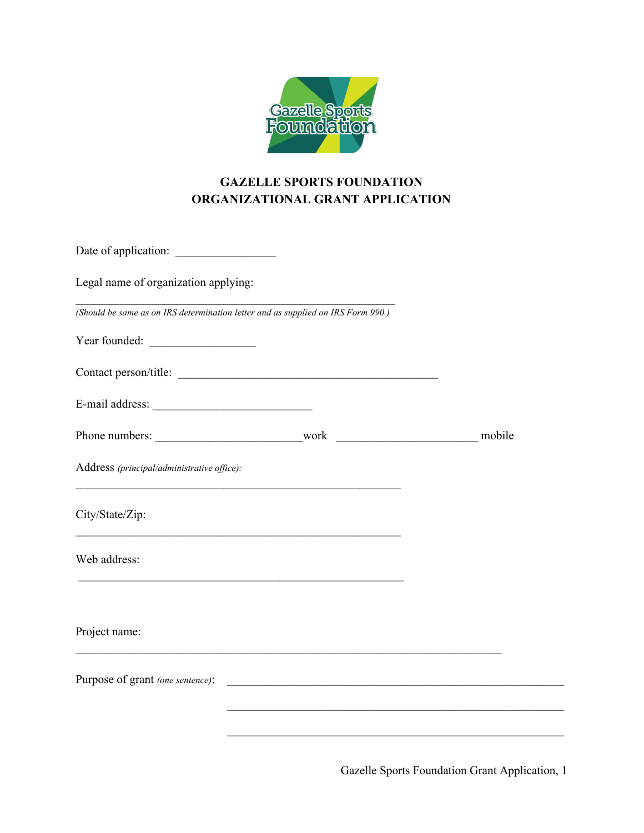

# **GAZELLE SPORTS FOUNDATION ORGANIZATIONAL GRANT APPLICATION**

| Date of application:                                                                                                                                     |  |
|----------------------------------------------------------------------------------------------------------------------------------------------------------|--|
| Legal name of organization applying:                                                                                                                     |  |
| (Should be same as on IRS determination letter and as supplied on IRS Form 990.)                                                                         |  |
|                                                                                                                                                          |  |
| Contact person/title:                                                                                                                                    |  |
| E-mail address:                                                                                                                                          |  |
|                                                                                                                                                          |  |
| Address (principal/administrative office):                                                                                                               |  |
| City/State/Zip:                                                                                                                                          |  |
| Web address:                                                                                                                                             |  |
|                                                                                                                                                          |  |
| Project name:                                                                                                                                            |  |
| Purpose of grant (one sentence):<br><u> 1980 - Antonio Alemania, prima postala de la contrada de la contrada de la contrada de la contrada de la con</u> |  |
|                                                                                                                                                          |  |
|                                                                                                                                                          |  |

Gazelle Sports Foundation Grant Application, 1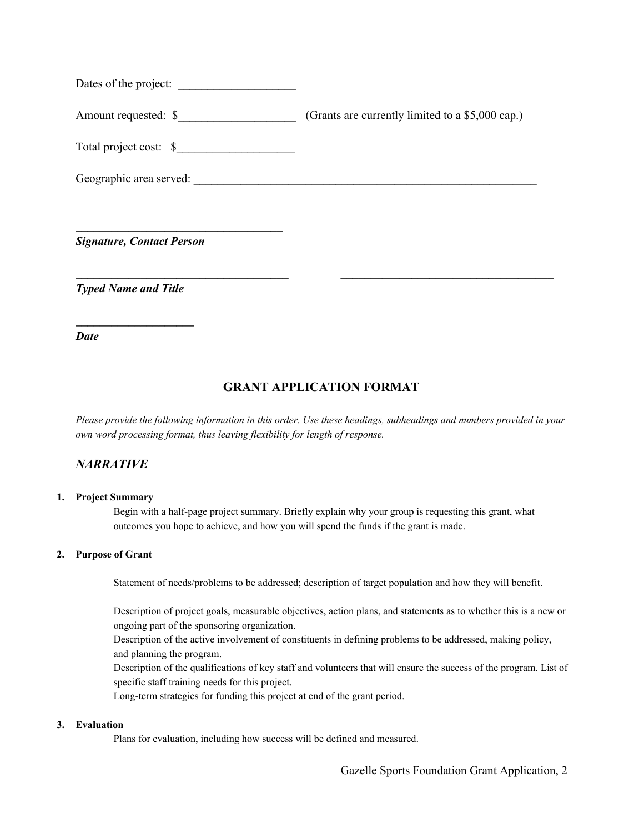Dates of the project:

Amount requested:  $\frac{\sqrt{2}}{2}$  (Grants are currently limited to a \$5,000 cap.)

Total project cost: \$\_\_\_\_\_\_\_\_\_\_\_\_\_\_\_\_\_\_\_\_

**\_\_\_\_\_\_\_\_\_\_\_\_\_\_\_\_\_\_\_\_\_\_\_\_\_\_\_\_\_\_\_\_\_\_\_**

Geographic area served:

*Signature, Contact Person*

*Typed Name and Title*

**\_\_\_\_\_\_\_\_\_\_\_\_\_\_\_\_\_\_\_\_**

*Date*

# **GRANT APPLICATION FORMAT**

**\_\_\_\_\_\_\_\_\_\_\_\_\_\_\_\_\_\_\_\_\_\_\_\_\_\_\_\_\_\_\_\_\_\_\_\_ \_\_\_\_\_\_\_\_\_\_\_\_\_\_\_\_\_\_\_\_\_\_\_\_\_\_\_\_\_\_\_\_\_\_\_\_**

Please provide the following information in this order. Use these headings, subheadings and numbers provided in your *own word processing format, thus leaving flexibility for length of response.*

### *NARRATIVE*

#### **1. Project Summary**

Begin with a half-page project summary. Briefly explain why your group is requesting this grant, what outcomes you hope to achieve, and how you will spend the funds if the grant is made.

#### **2. Purpose of Grant**

Statement of needs/problems to be addressed; description of target population and how they will benefit.

Description of project goals, measurable objectives, action plans, and statements as to whether this is a new or ongoing part of the sponsoring organization.

Description of the active involvement of constituents in defining problems to be addressed, making policy, and planning the program.

Description of the qualifications of key staff and volunteers that will ensure the success of the program. List of specific staff training needs for this project.

Long-term strategies for funding this project at end of the grant period.

### **3. Evaluation**

Plans for evaluation, including how success will be defined and measured.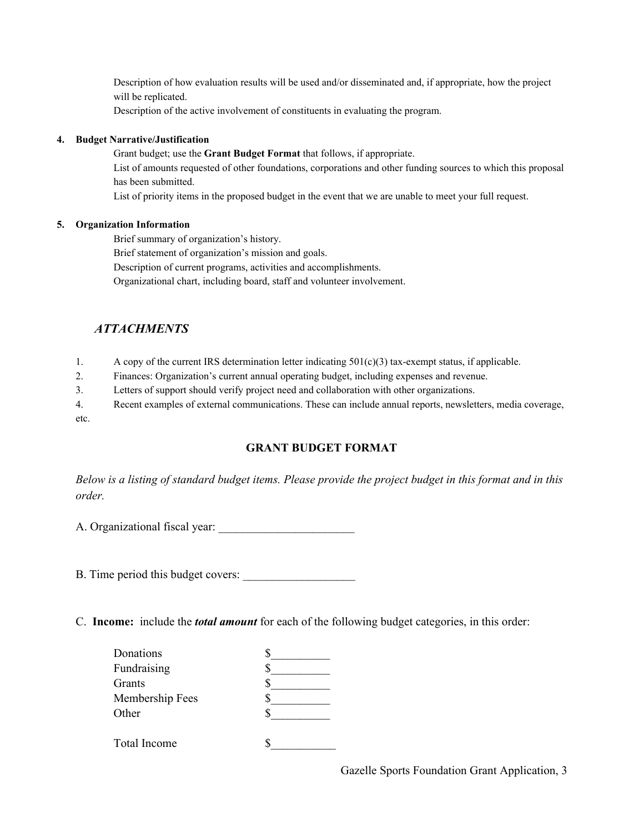Description of how evaluation results will be used and/or disseminated and, if appropriate, how the project will be replicated.

Description of the active involvement of constituents in evaluating the program.

#### **4. Budget Narrative/Justification**

Grant budget; use the **Grant Budget Format** that follows, if appropriate. List of amounts requested of other foundations, corporations and other funding sources to which this proposal has been submitted.

List of priority items in the proposed budget in the event that we are unable to meet your full request.

#### **5. Organization Information**

Brief summary of organization's history.

Brief statement of organization's mission and goals.

Description of current programs, activities and accomplishments.

Organizational chart, including board, staff and volunteer involvement.

# *ATTACHMENTS*

- 1. A copy of the current IRS determination letter indicating  $501(c)(3)$  tax-exempt status, if applicable.
- 2. Finances: Organization's current annual operating budget, including expenses and revenue.
- 3. Letters of support should verify project need and collaboration with other organizations.

4. Recent examples of external communications. These can include annual reports, newsletters, media coverage, etc.

### **GRANT BUDGET FORMAT**

Below is a listing of standard budget items. Please provide the project budget in this format and in this *order.*

A. Organizational fiscal year:

B. Time period this budget covers:

C. **Income:** include the *total amount* for each of the following budget categories, in this order:

| Donations       |  |
|-----------------|--|
| Fundraising     |  |
| Grants          |  |
| Membership Fees |  |
| Other           |  |
| Total Income    |  |

Gazelle Sports Foundation Grant Application, 3